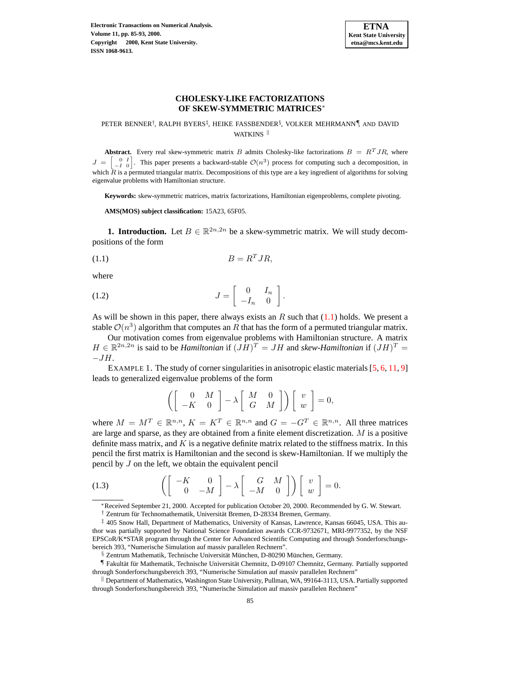

## **CHOLESKY-LIKE FACTORIZATIONS OF SKEW-SYMMETRIC MATRICES**<sup>∗</sup>

## PETER BENNER<sup>†</sup>, RALPH BYERS<sup>‡</sup>, HEIKE FASSBENDER<sup>§</sup>, VOLKER MEHRMANN¶, AND DAVID WATKINS<sup>II</sup>

**Abstract.** Every real skew-symmetric matrix B admits Cholesky-like factorizations  $B = R<sup>T</sup> J R$ , where  $J = \begin{bmatrix} 0 & I \\ -I & 0 \end{bmatrix}$ . This paper presents a backward-stable  $\mathcal{O}(n^3)$  process for computing such a decomposition, in which  $\hat{R}$  is a permuted triangular matrix. Decompositions of this type are a key ingredient of algorithms for solving eigenvalue problems with Hamiltonian structure.

**Keywords:** skew-symmetric matrices, matrix factorizations, Hamiltonian eigenproblems, complete pivoting.

**AMS(MOS) subject classification:** 15A23, 65F05.

**1. Introduction.** Let  $B \in \mathbb{R}^{2n,2n}$  be a skew-symmetric matrix. We will study decompositions of the form

<span id="page-0-0"></span>
$$
(1.1) \t\t B = R^T J R,
$$

where

$$
(1.2) \t\t J = \begin{bmatrix} 0 & I_n \\ -I_n & 0 \end{bmatrix}.
$$

As will be shown in this paper, there always exists an R such that  $(1.1)$  holds. We present a stable  $O(n^3)$  algorithm that computes an R that has the form of a permuted triangular matrix.

Our motivation comes from eigenvalue problems with Hamiltonian structure. A matrix  $H \in \mathbb{R}^{2n,2n}$  is said to be *Hamiltonian* if  $(JH)^T = JH$  and *skew-Hamiltonian* if  $(JH)^T =$  $-JH$ .

<span id="page-0-2"></span>EXAMPLE 1. The study of corner singularities in anisotropic elastic materials  $[5, 6, 11, 9]$  $[5, 6, 11, 9]$  $[5, 6, 11, 9]$  $[5, 6, 11, 9]$  $[5, 6, 11, 9]$  $[5, 6, 11, 9]$  $[5, 6, 11, 9]$ leads to generalized eigenvalue problems of the form

$$
\left(\left[\begin{array}{cc} 0 & M \\ -K & 0 \end{array}\right] - \lambda \left[\begin{array}{cc} M & 0 \\ G & M \end{array}\right]\right) \left[\begin{array}{c} v \\ w \end{array}\right] = 0,
$$

where  $M = M^T \in \mathbb{R}^{n,n}$ ,  $K = K^T \in \mathbb{R}^{n,n}$  and  $G = -G^T \in \mathbb{R}^{n,n}$ . All three matrices are large and sparse, as they are obtained from a finite element discretization. M is a positive definite mass matrix, and  $K$  is a negative definite matrix related to the stiffness matrix. In this pencil the first matrix is Hamiltonian and the second is skew-Hamiltonian. If we multiply the pencil by J on the left, we obtain the equivalent pencil

<span id="page-0-1"></span>(1.3) 
$$
\left( \begin{bmatrix} -K & 0 \\ 0 & -M \end{bmatrix} - \lambda \begin{bmatrix} G & M \\ -M & 0 \end{bmatrix} \right) \begin{bmatrix} v \\ w \end{bmatrix} = 0.
$$

<sup>∗</sup>Received September 21, 2000. Accepted for publication October 20, 2000. Recommended by G. W. Stewart.

<sup>†</sup> Zentrum für Technomathematik, Universität Bremen, D-28334 Bremen, Germany.

<sup>‡</sup> 405 Snow Hall, Department of Mathematics, University of Kansas, Lawrence, Kansas 66045, USA. This author was partially supported by National Science Foundation awards CCR-9732671, MRI-9977352, by the NSF EPSCoR/K\*STAR program through the Center for Advanced Scientific Computing and through Sonderforschungsbereich 393, "Numerische Simulation auf massiv parallelen Rechnern".

<sup>§</sup> Zentrum Mathematik, Technische Universität München, D-80290 München, Germany.

<sup>¶</sup> Fakultat¨ fur¨ Mathematik, Technische Universitat¨ Chemnitz, D-09107 Chemnitz, Germany. Partially supported through Sonderforschungsbereich 393, "Numerische Simulation auf massiv parallelen Rechnern"

 $\parallel$  Department of Mathematics, Washington State University, Pullman, WA, 99164-3113, USA. Partially supported through Sonderforschungsbereich 393, "Numerische Simulation auf massiv parallelen Rechnern"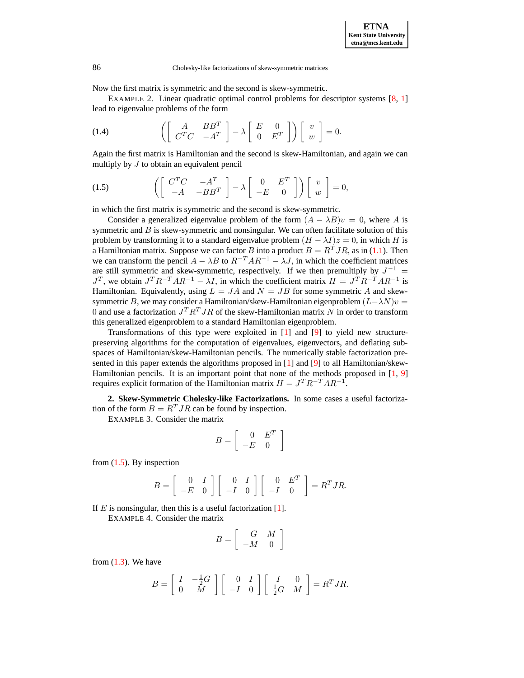Now the first matrix is symmetric and the second is skew-symmetric.

EXAMPLE 2. Linear quadratic optimal control problems for descriptor systems  $[8, 1]$  $[8, 1]$  $[8, 1]$ lead to eigenvalue problems of the form

 $\mathbb{R}^2$  . The set

(1.4) 
$$
\left( \left[ \begin{array}{cc} A & BB^T \\ C^T C & -A^T \end{array} \right] - \lambda \left[ \begin{array}{cc} E & 0 \\ 0 & E^T \end{array} \right] \right) \left[ \begin{array}{c} v \\ w \end{array} \right] = 0.
$$

Again the first matrix is Hamiltonian and the second is skew-Hamiltonian, and again we can multiply by  $J$  to obtain an equivalent pencil

<span id="page-1-0"></span>(1.5) 
$$
\left( \begin{bmatrix} C^T C & -A^T \\ -A & -BB^T \end{bmatrix} - \lambda \begin{bmatrix} 0 & E^T \\ -E & 0 \end{bmatrix} \right) \begin{bmatrix} v \\ w \end{bmatrix} = 0,
$$

in which the first matrix is symmetric and the second is skew-symmetric.

Consider a generalized eigenvalue problem of the form  $(A - \lambda B)v = 0$ , where A is symmetric and  $B$  is skew-symmetric and nonsingular. We can often facilitate solution of this problem by transforming it to a standard eigenvalue problem  $(H - \lambda I)z = 0$ , in which H is a Hamiltonian matrix. Suppose we can factor B into a product  $B = R<sup>T</sup> J R$ , as in [\(1.1\)](#page-0-0). Then we can transform the pencil  $A - \lambda B$  to  $R^{-T}AR^{-1} - \lambda J$ , in which the coefficient matrices are still symmetric and skew-symmetric, respectively. If we then premultiply by  $J^{-1}$  =  $J^T$ , we obtain  $J^T R^{-T} A R^{-1} - \lambda I$ , in which the coefficient matrix  $H = J^T R^{-T} A R^{-1}$  is Hamiltonian. Equivalently, using  $L = JA$  and  $N = JB$  for some symmetric A and skewsymmetric B, we may consider a Hamiltonian/skew-Hamiltonian eigenproblem  $(L-\lambda N)v =$ 0 and use a factorization  $J^T R^T J R$  of the skew-Hamiltonian matrix N in order to transform this generalized eigenproblem to a standard Hamiltonian eigenproblem.

Transformations of this type were exploited in [\[1\]](#page-8-5) and [\[9\]](#page-8-3) to yield new structurepreserving algorithms for the computation of eigenvalues, eigenvectors, and deflating subspaces of Hamiltonian/skew-Hamiltonian pencils. The numerically stable factorization presented in this paper extends the algorithms proposed in [\[1\]](#page-8-5) and [\[9\]](#page-8-3) to all Hamiltonian/skew-Hamiltonian pencils. It is an important point that none of the methods proposed in  $[1, 9]$  $[1, 9]$  $[1, 9]$ requires explicit formation of the Hamiltonian matrix  $H = J^T R^{-T} A R^{-1}$ .

**2. Skew-Symmetric Cholesky-like Factorizations.** In some cases a useful factorization of the form  $B = R<sup>T</sup> J R$  can be found by inspection.

EXAMPLE 3. Consider the matrix

$$
B = \left[ \begin{array}{cc} 0 & E^T \\ -E & 0 \end{array} \right]
$$

from  $(1.5)$ . By inspection

$$
B = \left[ \begin{array}{cc} 0 & I \\ -E & 0 \end{array} \right] \left[ \begin{array}{cc} 0 & I \\ -I & 0 \end{array} \right] \left[ \begin{array}{cc} 0 & E^T \\ -I & 0 \end{array} \right] = R^T J R.
$$

If  $E$  is nonsingular, then this is a useful factorization [\[1\]](#page-8-5).

EXAMPLE 4. Consider the matrix

$$
B = \left[ \begin{array}{cc} G & M \\ -M & 0 \end{array} \right]
$$

from  $(1.3)$ . We have

$$
B = \left[ \begin{array}{cc} I & -\frac{1}{2}G \\ 0 & M \end{array} \right] \left[ \begin{array}{cc} 0 & I \\ -I & 0 \end{array} \right] \left[ \begin{array}{cc} I & 0 \\ \frac{1}{2}G & M \end{array} \right] = R^T J R.
$$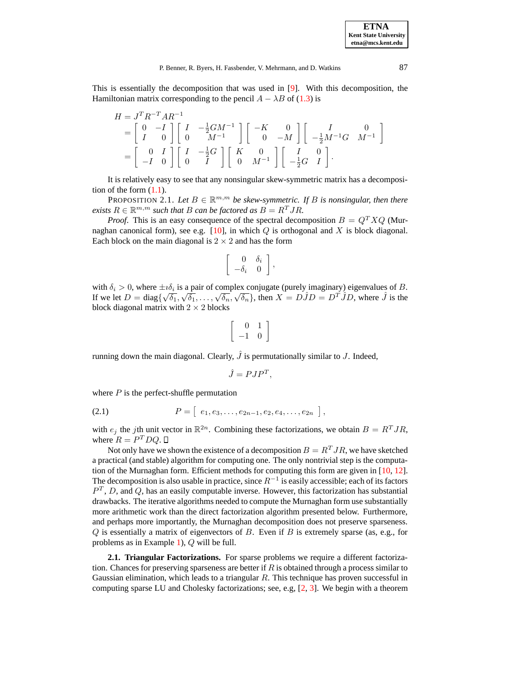**ETNA Kent State University etna@mcs.kent.edu**

This is essentially the decomposition that was used in [\[9\]](#page-8-3). With this decomposition, the Hamiltonian matrix corresponding to the pencil  $A - \lambda B$  of [\(1.3\)](#page-0-1) is

$$
H = J^{T} R^{-T} A R^{-1}
$$
  
=  $\begin{bmatrix} 0 & -I \\ I & 0 \end{bmatrix} \begin{bmatrix} I & -\frac{1}{2} G M^{-1} \\ 0 & M^{-1} \end{bmatrix} \begin{bmatrix} -K & 0 \\ 0 & -M \end{bmatrix} \begin{bmatrix} I & 0 \\ -\frac{1}{2} M^{-1} G & M^{-1} \end{bmatrix}$   
=  $\begin{bmatrix} 0 & I \\ -I & 0 \end{bmatrix} \begin{bmatrix} I & -\frac{1}{2} G \\ 0 & I \end{bmatrix} \begin{bmatrix} K & 0 \\ 0 & M^{-1} \end{bmatrix} \begin{bmatrix} I & 0 \\ -\frac{1}{2} G & I \end{bmatrix}.$ 

It is relatively easy to see that any nonsingular skew-symmetric matrix has a decomposition of the form  $(1.1)$ .

PROPOSITION 2.1. Let  $B \in \mathbb{R}^{m,m}$  be skew-symmetric. If B is nonsingular, then there *exists*  $R \in \mathbb{R}^{m,m}$  *such that B can be factored as*  $B = R^T J R$ *.* 

*Proof.* This is an easy consequence of the spectral decomposition  $B = Q^T X Q$  (Murnaghan canonical form), see e.g.  $[10]$ , in which  $Q$  is orthogonal and  $X$  is block diagonal. Each block on the main diagonal is  $2 \times 2$  and has the form

$$
\left[\begin{array}{cc} 0 & \delta_i \\ -\delta_i & 0 \end{array}\right],
$$

with  $\delta_i > 0$ , where  $\pm i \delta_i$  is a pair of complex conjugate (purely imaginary) eigenvalues of B. If we let  $D = \text{diag}\{\sqrt{\delta_1}, \sqrt{\delta_1}, \dots, \sqrt{\delta_n}, \sqrt{\delta_n}\}\)$ , then  $X = D\hat{J}D = D^T\hat{J}D$ , where  $\hat{J}$  is the block diagonal matrix with  $2 \times 2$  blocks

$$
\left[\begin{array}{cc} 0 & 1 \\ -1 & 0 \end{array}\right]
$$

running down the main diagonal. Clearly,  $\hat{J}$  is permutationally similar to  $J$ . Indeed,

$$
\hat{J} = PJP^T,
$$

where  $P$  is the perfect-shuffle permutation

<span id="page-2-0"></span>
$$
(2.1) \tP = [e_1, e_3, \ldots, e_{2n-1}, e_2, e_4, \ldots, e_{2n}],
$$

with  $e_j$  the jth unit vector in  $\mathbb{R}^{2n}$ . Combining these factorizations, we obtain  $B = R^T J R$ , where  $R = P^T D Q$ .

Not only have we shown the existence of a decomposition  $B = R<sup>T</sup> J R$ , we have sketched a practical (and stable) algorithm for computing one. The only nontrivial step is the computation of the Murnaghan form. Efficient methods for computing this form are given in [\[10,](#page-8-6) [12\]](#page-8-7). The decomposition is also usable in practice, since  $R^{-1}$  is easily accessible; each of its factors  $P<sup>T</sup>$ , D, and Q, has an easily computable inverse. However, this factorization has substantial drawbacks. The iterative algorithms needed to compute the Murnaghan form use substantially more arithmetic work than the direct factorization algorithm presented below. Furthermore, and perhaps more importantly, the Murnaghan decomposition does not preserve sparseness.  $Q$  is essentially a matrix of eigenvectors of  $B$ . Even if  $B$  is extremely sparse (as, e.g., for problems as in Example [1\)](#page-0-2), Q will be full.

**2.1. Triangular Factorizations.** For sparse problems we require a different factorization. Chances for preserving sparseness are better if  $R$  is obtained through a process similar to Gaussian elimination, which leads to a triangular  $R$ . This technique has proven successful in computing sparse LU and Cholesky factorizations; see, e.g, [\[2,](#page-8-8) [3\]](#page-8-9). We begin with a theorem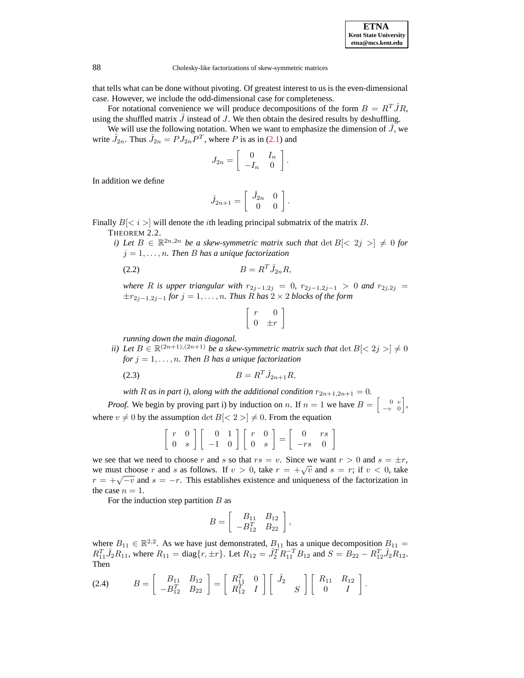that tells what can be done without pivoting. Of greatest interest to us is the even-dimensional case. However, we include the odd-dimensional case for completeness.

For notational convenience we will produce decompositions of the form  $B = R^T \hat{J}R$ , using the shuffled matrix  $\hat{J}$  instead of J. We then obtain the desired results by deshuffling.

We will use the following notation. When we want to emphasize the dimension of  $\hat{J}$ , we write  $\hat{J}_{2n}$ . Thus  $\hat{J}_{2n} = PJ_{2n}P^{T}$ , where P is as in [\(2.1\)](#page-2-0) and

$$
J_{2n} = \left[ \begin{array}{cc} 0 & I_n \\ -I_n & 0 \end{array} \right].
$$

In addition we define

$$
\hat{J}_{2n+1} = \left[ \begin{array}{cc} \hat{J}_{2n} & 0 \\ 0 & 0 \end{array} \right].
$$

Finally  $B\leq i$  is will denote the *i*th leading principal submatrix of the matrix B.

THEOREM 2.2.

*i*) Let  $B \in \mathbb{R}^{2n,2n}$  be a skew-symmetric matrix such that  $\det B \leq 2j \geq j \neq 0$  for  $j = 1, \ldots, n$ . Then B has a unique factorization

$$
(2.2) \t\t\t B = R^T \hat{J}_{2n} R,
$$

*where R is upper triangular with*  $r_{2j-1,2j} = 0$ ,  $r_{2j-1,2j-1} > 0$  *and*  $r_{2j,2j} =$  $\pm r_{2j-1,2j-1}$  *for*  $j = 1, \ldots, n$ *. Thus R has*  $2 \times 2$  *blocks of the form* 

$$
\left[\begin{array}{cc}r & 0\\0 & \pm r\end{array}\right]
$$

*running down the main diagonal.*

*ii)* Let  $B \in \mathbb{R}^{(2n+1),(2n+1)}$  be a skew-symmetric matrix such that  $\det B \leq 2j > \neq 0$ *for*  $j = 1, \ldots, n$ *. Then B has a unique factorization* 

(2.3) 
$$
B = R^T \hat{J}_{2n+1} R,
$$

*with R as in part i*), *along with the additional condition*  $r_{2n+1,2n+1} = 0$ *.* 

*Proof.* We begin by proving part i) by induction on n. If  $n = 1$  we have  $B = \begin{bmatrix} 0 & v \\ -v & 0 \end{bmatrix}$ , where  $v \neq 0$  by the assumption det  $B\leq 2 > \vert \neq 0$ . From the equation

$$
\left[\begin{array}{cc} r & 0 \\ 0 & s \end{array}\right] \left[\begin{array}{cc} 0 & 1 \\ -1 & 0 \end{array}\right] \left[\begin{array}{cc} r & 0 \\ 0 & s \end{array}\right] = \left[\begin{array}{cc} 0 & rs \\ -rs & 0 \end{array}\right]
$$

we see that we need to choose r and s so that  $rs = v$ . Since we want  $r > 0$  and  $s = \pm r$ , we must choose r and s as follows. If  $v > 0$ , take  $r = +\sqrt{v}$  and  $s = r$ ; if  $v < 0$ , take  $r = +\sqrt{-v}$  and  $s = -r$ . This establishes existence and uniqueness of the factorization in the case  $n = 1$ .

For the induction step partition  $B$  as

$$
B = \left[ \begin{array}{cc} B_{11} & B_{12} \\ -B_{12}^T & B_{22} \end{array} \right],
$$

where  $B_{11} \in \mathbb{R}^{2,2}$ . As we have just demonstrated,  $B_{11}$  has a unique decomposition  $B_{11} = \overline{C_{11}^{T}} \cdot \hat{C_{11}}$  $R_{11}^T \hat{J}_2 R_{11}$ , where  $R_{11} = \text{diag}\{r, \pm r\}$ . Let  $R_{12} = \hat{J}_2^T R_{11}^{-T} B_{12}$  and  $S = B_{22} - R_{12}^T \hat{J}_2 R_{12}$ . Then

<span id="page-3-0"></span>
$$
(2.4) \tB = \begin{bmatrix} B_{11} & B_{12} \\ -B_{12}^T & B_{22} \end{bmatrix} = \begin{bmatrix} R_{11}^T & 0 \\ R_{12}^T & I \end{bmatrix} \begin{bmatrix} \hat{J}_2 \\ S \end{bmatrix} \begin{bmatrix} R_{11} & R_{12} \\ 0 & I \end{bmatrix}.
$$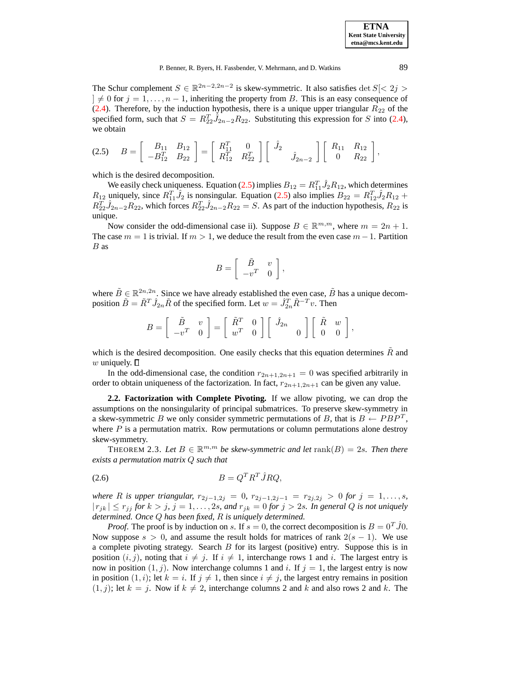The Schur complement  $S \in \mathbb{R}^{2n-2,2n-2}$  is skew-symmetric. It also satisfies det  $S \leq 2j > 1$  $]\neq 0$  for  $j = 1, \ldots, n - 1$ , inheriting the property from B. This is an easy consequence of [\(2.4\)](#page-3-0). Therefore, by the induction hypothesis, there is a unique upper triangular  $R_{22}$  of the specified form, such that  $S = R_{22}^T \hat{J}_{2n-2} R_{22}$ . Substituting this expression for S into [\(2.4\)](#page-3-0), we obtain

<span id="page-4-0"></span>
$$
(2.5) \tB = \begin{bmatrix} B_{11} & B_{12} \\ -B_{12}^T & B_{22} \end{bmatrix} = \begin{bmatrix} R_{11}^T & 0 \\ R_{12}^T & R_{22}^T \end{bmatrix} \begin{bmatrix} \hat{J}_2 \\ \hat{J}_{2n-2} \end{bmatrix} \begin{bmatrix} R_{11} & R_{12} \\ 0 & R_{22} \end{bmatrix},
$$

which is the desired decomposition.

We easily check uniqueness. Equation [\(2.5\)](#page-4-0) implies  $B_{12} = R_{11}^T \hat{J}_2 R_{12}$ , which determines  $R_{12}$  uniquely, since  $R_{11}^T \hat{J}_2$  is nonsingular. Equation [\(2.5\)](#page-4-0) also implies  $B_{22} = R_{12}^T \hat{J}_2 R_{12} +$  $R_{22}^T \hat{J}_{2n-2} R_{22}$ , which forces  $R_{22}^T \hat{J}_{2n-2} R_{22} = S$ . As part of the induction hypothesis,  $R_{22}$  is unique.

Now consider the odd-dimensional case ii). Suppose  $B \in \mathbb{R}^{m,m}$ , where  $m = 2n + 1$ . The case  $m = 1$  is trivial. If  $m > 1$ , we deduce the result from the even case  $m - 1$ . Partition B as

$$
B = \left[ \begin{array}{cc} \tilde{B} & v \\ -v^T & 0 \end{array} \right],
$$

where  $\tilde{B} \in \mathbb{R}^{2n,2n}$ . Since we have already established the even case,  $\tilde{B}$  has a unique decomposition  $\tilde{B} = \tilde{R}^T \hat{J}_{2n} \tilde{R}$  of the specified form. Let  $w = \hat{J}_{2n}^T \tilde{R}^{-T} v$ . Then

$$
B = \begin{bmatrix} \tilde{B} & v \\ -v^T & 0 \end{bmatrix} = \begin{bmatrix} \tilde{R}^T & 0 \\ w^T & 0 \end{bmatrix} \begin{bmatrix} \hat{J}_{2n} \\ 0 \end{bmatrix} \begin{bmatrix} \tilde{R} & w \\ 0 & 0 \end{bmatrix},
$$

which is the desired decomposition. One easily checks that this equation determines  $\hat{R}$  and w uniquely.  $\square$ 

In the odd-dimensional case, the condition  $r_{2n+1,2n+1} = 0$  was specified arbitrarily in order to obtain uniqueness of the factorization. In fact,  $r_{2n+1,2n+1}$  can be given any value.

**2.2. Factorization with Complete Pivoting.** If we allow pivoting, we can drop the assumptions on the nonsingularity of principal submatrices. To preserve skew-symmetry in a skew-symmetric B we only consider symmetric permutations of B, that is  $B \leftarrow PBP^T$ , where  $P$  is a permutation matrix. Row permutations or column permutations alone destroy skew-symmetry.

<span id="page-4-1"></span>THEOREM 2.3. Let  $B \in \mathbb{R}^{m,m}$  be skew-symmetric and let  $\text{rank}(B) = 2s$ . Then there *exists a permutation matrix* Q *such that*

$$
(2.6) \t\t B = Q^T R^T \hat{J} R Q,
$$

*where R is upper triangular,*  $r_{2j-1,2j} = 0$ ,  $r_{2j-1,2j-1} = r_{2j,2j} > 0$  *for*  $j = 1,...,s$ ,  $|r_{jk}| \leq r_{jj}$  *for*  $k > j$ ,  $j = 1, \ldots, 2s$ , and  $r_{jk} = 0$  *for*  $j > 2s$ . In general Q is not uniquely *determined. Once* Q *has been fixed,* R *is uniquely determined.*

*Proof.* The proof is by induction on s. If  $s = 0$ , the correct decomposition is  $B = 0^T \hat{J}0$ . Now suppose  $s > 0$ , and assume the result holds for matrices of rank  $2(s - 1)$ . We use a complete pivoting strategy. Search B for its largest (positive) entry. Suppose this is in position  $(i, j)$ , noting that  $i \neq j$ . If  $i \neq 1$ , interchange rows 1 and i. The largest entry is now in position  $(1, j)$ . Now interchange columns 1 and i. If  $j = 1$ , the largest entry is now in position  $(1,i)$ ; let  $k = i$ . If  $j \neq 1$ , then since  $i \neq j$ , the largest entry remains in position  $(1, j)$ ; let  $k = j$ . Now if  $k \neq 2$ , interchange columns 2 and k and also rows 2 and k. The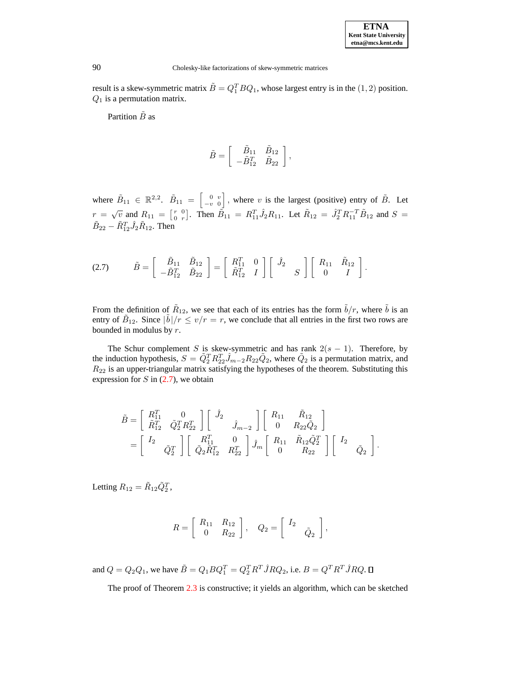result is a skew-symmetric matrix  $\tilde{B} = Q_1^T B Q_1$ , whose largest entry is in the  $(1, 2)$  position.  $Q_1$  is a permutation matrix.

Partition  $\tilde{B}$  as

$$
\tilde{B} = \left[ \begin{array}{cc} \tilde{B}_{11} & \tilde{B}_{12} \\ -\tilde{B}_{12}^T & \tilde{B}_{22} \end{array} \right],
$$

where  $\tilde{B}_{11} \in \mathbb{R}^{2,2}$ .  $\tilde{B}_{11} = \begin{bmatrix} 0 & v \\ -v & 0 \end{bmatrix}$ , where v is the largest (positive) entry of  $\tilde{B}$ . Let  $r = \sqrt{v}$  and  $R_{11} = \begin{bmatrix} r & 0 \\ 0 & r \end{bmatrix}$ . Then  $\tilde{B}_{11} = R_{11}^T \hat{J}_2 R_{11}$ . Let  $\tilde{R}_{12} = \hat{J}_2^T R_{11}^{-T} \tilde{B}_{12}$  and  $S =$  $\tilde{B}_{22} - \tilde{R}_{12}^T \hat{J}_2 \tilde{R}_{12}$ . Then

<span id="page-5-0"></span>
$$
(2.7) \qquad \tilde{B} = \left[ \begin{array}{cc} \tilde{B}_{11} & \tilde{B}_{12} \\ -\tilde{B}_{12}^T & \tilde{B}_{22} \end{array} \right] = \left[ \begin{array}{cc} R_{11}^T & 0 \\ \tilde{R}_{12}^T & I \end{array} \right] \left[ \begin{array}{cc} \hat{J}_2 & \\ & S \end{array} \right] \left[ \begin{array}{cc} R_{11} & \tilde{R}_{12} \\ 0 & I \end{array} \right].
$$

From the definition of  $\tilde{R}_{12}$ , we see that each of its entries has the form  $\tilde{b}/r$ , where  $\tilde{b}$  is an entry of  $\tilde{B}_{12}$ . Since  $|\tilde{b}|/r \le v/r = r$ , we conclude that all entries in the first two rows are bounded in modulus by  $r$ .

The Schur complement S is skew-symmetric and has rank  $2(s - 1)$ . Therefore, by the induction hypothesis,  $S = \tilde{Q}_2^T R_{22}^T \hat{J}_{m-2} R_{22} \tilde{Q}_2$ , where  $\tilde{Q}_2$  is a permutation matrix, and  $R_{22}$  is an upper-triangular matrix satisfying the hypotheses of the theorem. Substituting this expression for  $S$  in [\(2.7\)](#page-5-0), we obtain

$$
\begin{split} \tilde{B} & = \left[ \begin{array}{cc} R_{11}^T & 0 \\ \tilde{R}_{12}^T & \tilde{Q}_2^T R_{22}^T \end{array} \right] \left[ \begin{array}{cc} \hat{J}_2 & \\ & \hat{J}_{m-2} \end{array} \right] \left[ \begin{array}{cc} R_{11} & \tilde{R}_{12} \\ 0 & R_{22} \tilde{Q}_2 \end{array} \right] \\ & = \left[ \begin{array}{cc} I_2 & \\ & \tilde{Q}_2^T \end{array} \right] \left[ \begin{array}{cc} R_{11}^T & 0 \\ \tilde{Q}_2 \tilde{R}_{12}^T & R_{22}^T \end{array} \right] \hat{J}_m \left[ \begin{array}{cc} R_{11} & \tilde{R}_{12} \tilde{Q}_2^T \\ 0 & R_{22} \end{array} \right] \left[ \begin{array}{cc} I_2 & \\ & \tilde{Q}_2 \end{array} \right]. \end{split}
$$

Letting  $R_{12} = \tilde{R}_{12} \tilde{Q}_2^T$ ,

$$
R = \left[ \begin{array}{cc} R_{11} & R_{12} \\ 0 & R_{22} \end{array} \right], \quad Q_2 = \left[ \begin{array}{cc} I_2 & \\ & \tilde{Q}_2 \end{array} \right],
$$

and  $Q = Q_2 Q_1$ , we have  $\tilde{B} = Q_1 B Q_1^T = Q_2^T R^T \hat{J} R Q_2$ , i.e.  $B = Q^T R^T \hat{J} R Q$ .

The proof of Theorem [2.3](#page-4-1) is constructive; it yields an algorithm, which can be sketched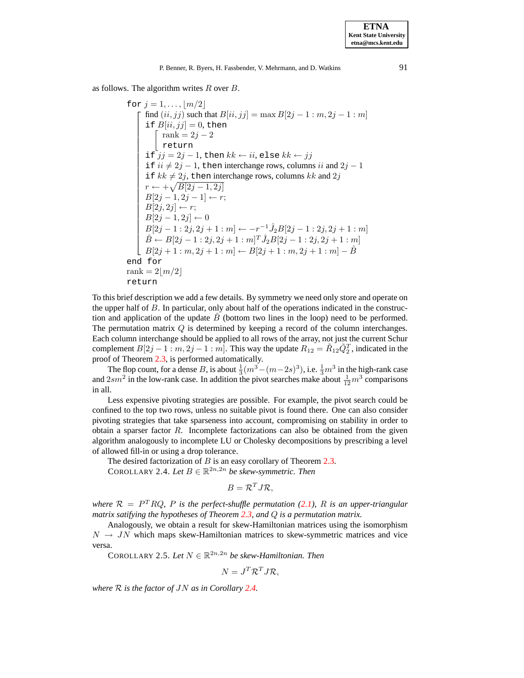as follows. The algorithm writes  $R$  over  $B$ .

for 
$$
j = 1,..., \lfloor m/2 \rfloor
$$
  
\nfind  $(ii, jj)$  such that  $B[ii, jj] = \max B[2j - 1 : m, 2j - 1 : m]$   
\nif  $B[ii, jj] = 0$ , then  
\n $\begin{cases}\n\text{rank} = 2j - 2 \\
\text{return} \\
\text{if } ij = 2j - 1, \text{ then } kk \leftarrow ii, \text{else } kk \leftarrow jj \\
\text{if } ii \neq 2j - 1, \text{ then interchange rows, columns } ii \text{ and } 2j - 1 \\
\text{if } kk \neq 2j, \text{ then interchange rows, columns } kk \text{ and } 2j \\
\text{if } i \leftarrow + \sqrt{B[2j - 1, 2j]} \\
B[2j - 1, 2j - 1] \leftarrow r; \\
B[2j, 2j] \leftarrow r; \\
B[2j - 1: 2j, 2j + 1 : m] \leftarrow -r^{-1} \hat{J}_2 B[2j - 1: 2j, 2j + 1 : m] \\
\hat{B} \leftarrow B[2j - 1: 2j, 2j + 1 : m]^T \hat{J}_2 B[2j - 1: 2j, 2j + 1 : m] \\
B[2j + 1: m, 2j + 1 : m] \leftarrow B[2j + 1: m, 2j + 1 : m] - \hat{B} \\
\text{end for} \\
\text{rank} = 2[m/2] \\
\text{return}\n\end{cases}$ 

To this brief description we add a few details. By symmetry we need only store and operate on the upper half of B. In particular, only about half of the operations indicated in the construction and application of the update  $B<sub>o</sub>$  (bottom two lines in the loop) need to be performed. The permutation matrix Q is determined by keeping a record of the column interchanges. Each column interchange should be applied to all rows of the array, not just the current Schur complement  $B[2j-1:m, 2j-1:m]$ . This way the update  $R_{12} = \tilde{R}_{12} \tilde{Q}_2^T$ , indicated in the proof of Theorem [2.3,](#page-4-1) is performed automatically.

The flop count, for a dense B, is about  $\frac{1}{3}(m^3 - (m-2s)^3)$ , i.e.  $\frac{1}{3}m^3$  in the high-rank case and  $2sm^2$  in the low-rank case. In addition the pivot searches make about  $\frac{1}{12}m^3$  comparisons in all.

Less expensive pivoting strategies are possible. For example, the pivot search could be confined to the top two rows, unless no suitable pivot is found there. One can also consider pivoting strategies that take sparseness into account, compromising on stability in order to obtain a sparser factor R. Incomplete factorizations can also be obtained from the given algorithm analogously to incomplete LU or Cholesky decompositions by prescribing a level of allowed fill-in or using a drop tolerance.

The desired factorization of  $B$  is an easy corollary of Theorem [2.3.](#page-4-1)

COROLLARY 2.4. Let  $B \in \mathbb{R}^{2n,2n}$  be skew-symmetric. Then

$$
B=\mathcal{R}^TJ\mathcal{R},
$$

<span id="page-6-0"></span>*where*  $\mathcal{R} = P^T R Q$ , *P is the perfect-shuffle permutation* [\(2.1\)](#page-2-0), *R is an upper-triangular matrix satifying the hypotheses of Theorem [2.3,](#page-4-1) and* Q *is a permutation matrix.*

Analogously, we obtain a result for skew-Hamiltonian matrices using the isomorphism  $N \rightarrow JN$  which maps skew-Hamiltonian matrices to skew-symmetric matrices and vice versa.

COROLLARY 2.5. Let  $N \in \mathbb{R}^{2n,2n}$  be skew-Hamiltonian. Then

$$
N = J^T \mathcal{R}^T J \mathcal{R},
$$

*where* R *is the factor of* JN *as in Corollary [2.4.](#page-6-0)*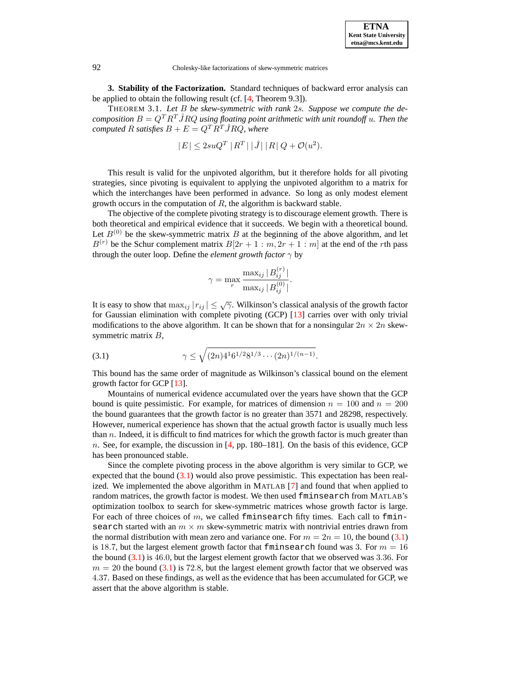

**3. Stability of the Factorization.** Standard techniques of backward error analysis can be applied to obtain the following result (cf. [\[4,](#page-8-10) Theorem 9.3]).

THEOREM 3.1. *Let* B *be skew-symmetric with rank* 2s*. Suppose we compute the decomposition*  $B = Q^T R^T \hat{J} R Q$  *using floating point arithmetic with unit roundoff u. Then the computed* R *satisfies*  $B + E = Q<sup>T</sup> R<sup>T</sup>$  *J* RQ, where

$$
|E| \le 2suQ^T |R^T| |\hat{J}| |R| Q + \mathcal{O}(u^2).
$$

This result is valid for the unpivoted algorithm, but it therefore holds for all pivoting strategies, since pivoting is equivalent to applying the unpivoted algorithm to a matrix for which the interchanges have been performed in advance. So long as only modest element growth occurs in the computation of  $R$ , the algorithm is backward stable.

The objective of the complete pivoting strategy is to discourage element growth. There is both theoretical and empirical evidence that it succeeds. We begin with a theoretical bound. Let  $B^{(0)}$  be the skew-symmetric matrix B at the beginning of the above algorithm, and let  $B^{(r)}$  be the Schur complement matrix  $B[2r + 1 : m, 2r + 1 : m]$  at the end of the rth pass through the outer loop. Define the *element growth factor*  $\gamma$  by

$$
\gamma = \max_{r} \frac{\max_{ij} |B_{ij}^{(r)}|}{\max_{ij} |B_{ij}^{(0)}|}.
$$

It is easy to show that  $\max_{ij} |r_{ij}| \leq \sqrt{\gamma}$ . Wilkinson's classical analysis of the growth factor for Gaussian elimination with complete pivoting (GCP) [\[13\]](#page-8-11) carries over with only trivial modifications to the above algorithm. It can be shown that for a nonsingular  $2n \times 2n$  skewsymmetric matrix B,

<span id="page-7-0"></span>(3.1) 
$$
\gamma \leq \sqrt{(2n)4^1 6^{1/2} 8^{1/3} \cdots (2n)^{1/(n-1)}}.
$$

This bound has the same order of magnitude as Wilkinson's classical bound on the element growth factor for GCP [\[13\]](#page-8-11).

Mountains of numerical evidence accumulated over the years have shown that the GCP bound is quite pessimistic. For example, for matrices of dimension  $n = 100$  and  $n = 200$ the bound guarantees that the growth factor is no greater than 3571 and 28298, respectively. However, numerical experience has shown that the actual growth factor is usually much less than  $n$ . Indeed, it is difficult to find matrices for which the growth factor is much greater than n. See, for example, the discussion in  $[4, pp. 180-181]$  $[4, pp. 180-181]$ . On the basis of this evidence, GCP has been pronounced stable.

Since the complete pivoting process in the above algorithm is very similar to GCP, we expected that the bound  $(3.1)$  would also prove pessimistic. This expectation has been realized. We implemented the above algorithm in MATLAB [\[7\]](#page-8-12) and found that when applied to random matrices, the growth factor is modest. We then used fminsearch from MATLAB's optimization toolbox to search for skew-symmetric matrices whose growth factor is large. For each of three choices of  $m$ , we called fminsearch fifty times. Each call to fminsearch started with an  $m \times m$  skew-symmetric matrix with nontrivial entries drawn from the normal distribution with mean zero and variance one. For  $m = 2n = 10$ , the bound [\(3.1\)](#page-7-0) is 18.7, but the largest element growth factor that finites earch found was 3. For  $m = 16$ the bound [\(3.1\)](#page-7-0) is 46.0, but the largest element growth factor that we observed was 3.36. For  $m = 20$  the bound [\(3.1\)](#page-7-0) is 72.8, but the largest element growth factor that we observed was 4.37. Based on these findings, as well as the evidence that has been accumulated for GCP, we assert that the above algorithm is stable.